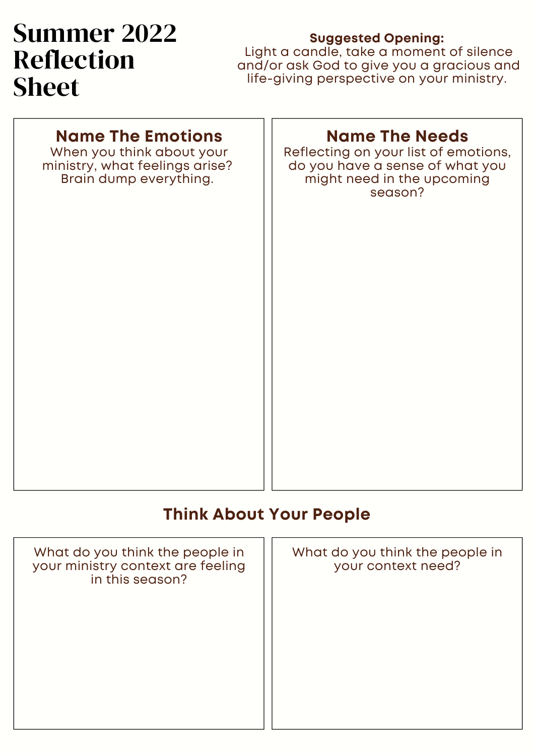# Summer 2022 Reflection Sheet

#### **Suggested Opening:**

Light a candle, take a moment of silence and/or ask God to give you a gracious and life-giving perspective on your ministry.

#### **Name The Emotions**

When you think about your ministry, what feelings arise? Brain dump everything.

#### **Name The Needs**

Reflecting on your list of emotions, do you have a sense of what you might need in the upcoming season?

#### **Think About Your People**